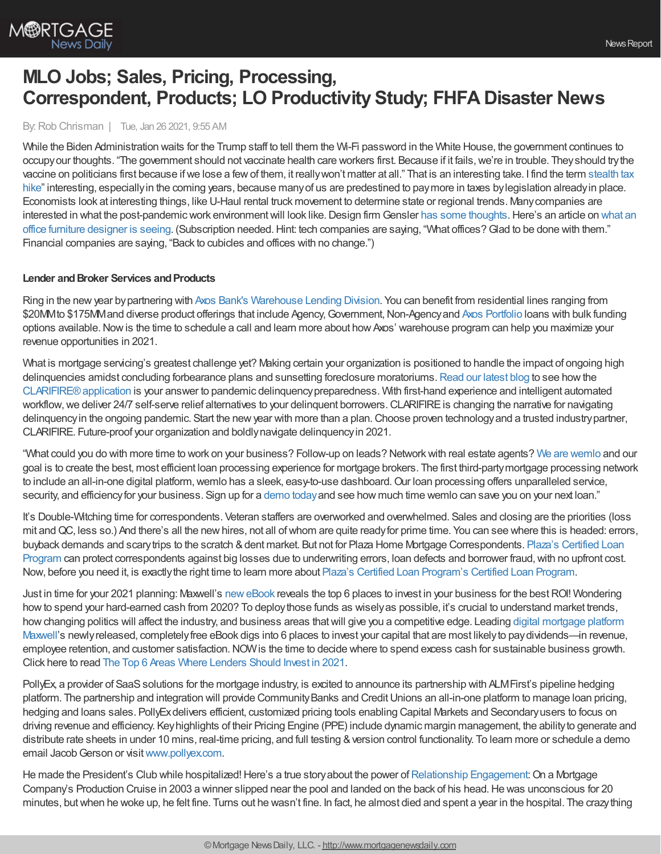

# **MLO Jobs; Sales, Pricing, Processing, Correspondent, Products; LO Productivity Study; FHFA Disaster News**

By:Rob Chrisman | Tue, Jan 26 2021, 9:55 AM

While the Biden Administration waits for the Trump staff to tell them the Wi-Fi password in the White House, the government continues to occupy our thoughts. "The government should not vaccinate health care workers first. Because if it fails, we're in trouble. They should try the vaccine on politicians first because ifwe lose a fewof them, it reallywon't matter at all." That is an interesting take. I find the term stealth tax hike" interesting, especiallyin the coming years, because manyof us are predestined to paymore in taxes [bylegislation](https://taxfoundation.org/no-stealth-tax-increases-in-2021-republican-biden-taxes/) alreadyin place. Economists look at interesting things, like U-Haul rental truck movement to determine state or regional trends. Manycompanies are interested in what the post-pandemic work environment will look like. Design firm Gensler has some [thoughts](https://www.gensler.com/research-insight/blog/5-trends-driving-the-new-post-pandemic-workplace). Here's an article on what an office furniture designer is seeing. (Subscription needed.Hint: tech companies are saying, "What offices?Glad to be done with them." Financial companies are saying, "Back to cubicles and offices with no change.")

## **Lender and Broker Services and Products**

Ring in the newyear bypartnering with Axos Bank's [Warehouse](https://www.axosbank.com/Business/Commercial-Lending/Warehouse-Lending?utm_campaign=01950_warehouse_january_2021_chrisman_blog_ad&utm_medium=paidreferral&utm_source=chrismanblog) Lending Division. You can benefit from residential lines ranging from \$20MMto \$175MMand diverse product offerings that include Agency, Government, Non-Agency and Axos [Portfolio](https://www.axosbank.com/Partners/Wholesale-Correspondent-Portfolio-Lending?utm_campaign=01951_warehouse_january_2021_chrisman_blog_ad&utm_medium=paidreferral&utm_source=chrismanblog) loans with bulk funding options available.Nowis the time to schedule a call and learn more about howAxos' warehouse program can help you maximize your revenue opportunities in 2021.

What is mortgage servicing's greatest challenge yet? Making certain your organization is positioned to handle the impact of ongoing high delinquencies amidst concluding forbearance plans and sunsetting foreclosure moratoriums. [Read](https://blog.eclarifire.com/change-the-narrative-for-navigating-delinquency-in-an-ongoing-pandemic?utm_campaign=Chrisman%20Ads&utm_source=Chrisman-Ads&utm_medium=Chrisman-Ads-2021-01-26) our latest blog to see how the [CLARIFIRE®application](https://www.eclarifire.com/workflow-automation-software.aspx) is your answer to pandemic delinquencypreparedness. With first-hand experience and intelligent automated workflow, we deliver 24/7 self-serve relief alternatives to your delinguent borrowers. CLARIFIRE is changing the narrative for navigating delinguency in the ongoing pandemic. Start the new year with more than a plan. Choose proven technology and a trusted industry partner, CLARIFIRE. Future-proof your organization and boldlynavigate delinquencyin 2021.

"What could you do with more time to work on your business? Follow-up on leads? Networkwith real estate agents? We are [wemlo](https://www.wemlo.io/?utm_source=Chrisman&utm_medium=Newsletter&utm_campaign=January%202021) and our goal is to create the best, most efficient loan processing experience for mortgage brokers. The first third-partymortgage processing network to include an all-in-one digital platform, wemlo has a sleek, easy-to-use dashboard. Our loan processing offers unparalleled service, security, and efficiencyfor your business. Sign up for a [demo](https://www.wemlo.io/?utm_source=Chrisman&utm_medium=Newsletter&utm_campaign=January%202021) todayand see how much time wemlo can save you on your next loan."

It's Double-Witching time for correspondents. Veteran staffers are overworked and overwhelmed. Sales and closing are the priorities (loss mit and QC, less so.) And there's all the new hires, not all of whom are quite ready for prime time. You can see where this is headed: errors, buyback demands and scary trips to the scratch & dent market. But not for Plaza Home Mortgage [Correspondents.](https://hubs.ly/H0F7WBH0) Plaza's Certified Loan Program can protect correspondents against big losses due to underwriting errors, loan defects and borrower fraud, with no upfront cost. Now, before you need it, is exactlythe right time to learn more about Plaza's Certified Loan [Program's](https://hubs.ly/H0F7WBH0) Certified Loan Program.

Just in time for your 2021 planning: Maxwell's [neweBook](https://demo.himaxwell.com/top-6-areas-to-invest-in-2021-presented-by-Maxwell) reveals the top 6 places to invest in your business for the bestROI! Wondering howto spend your hard-earned cash from 2020? To deploythose funds as wiselyas possible, it's crucial to understand market trends, howchanging politics will affect the industry, and business areas thatwill give you a competitive edge. Leading digital mortgage platform Maxwell's newlyreleased, completelyfree eBook digs into 6 places to invest your capital that are most likelyto [paydividends—in](https://himaxwell.com/?utm_source=RC&utm_medium=RC_Content) revenue, employee retention, and customer satisfaction. NOW is the time to decide where to spend excess cash for sustainable business growth. Click here to read The Top 6 Areas Where [Lenders](https://demo.himaxwell.com/top-6-areas-to-invest-in-2021-presented-by-Maxwell) Should Invest in 2021.

PollyEx, a provider of SaaS solutions for the mortgage industry, is excited to announce its partnership with ALMFirst's pipeline hedging platform. The partnership and integration will provide Community Banks and Credit Unions an all-in-one platform to manage loan pricing, hedging and loans sales. PollyExdelivers efficient, customized pricing tools enabling Capital Markets and Secondaryusers to focus on driving revenue and efficiency. Keyhighlights of their Pricing Engine (PPE) include dynamic margin management, the abilityto generate and distribute rate sheets in under 10 mins, real-time pricing, and full testing & version control functionality. To learn more or schedule a demo email Jacob Gerson or visit [www.pollyex.com.](http://www.pollyex.com/)

He made the President's Club while hospitalized! Here's a true story about the power of Relationship [Engagement](http://bit.ly/3a6ObSP): On a Mortgage Company's Production Cruise in 2003 a winner slipped near the pool and landed on the back of his head. He was unconscious for 20 minutes, butwhen he woke up, he felt fine. Turns out he wasn't fine. In fact, he almost died and spent a year in the hospital. The crazything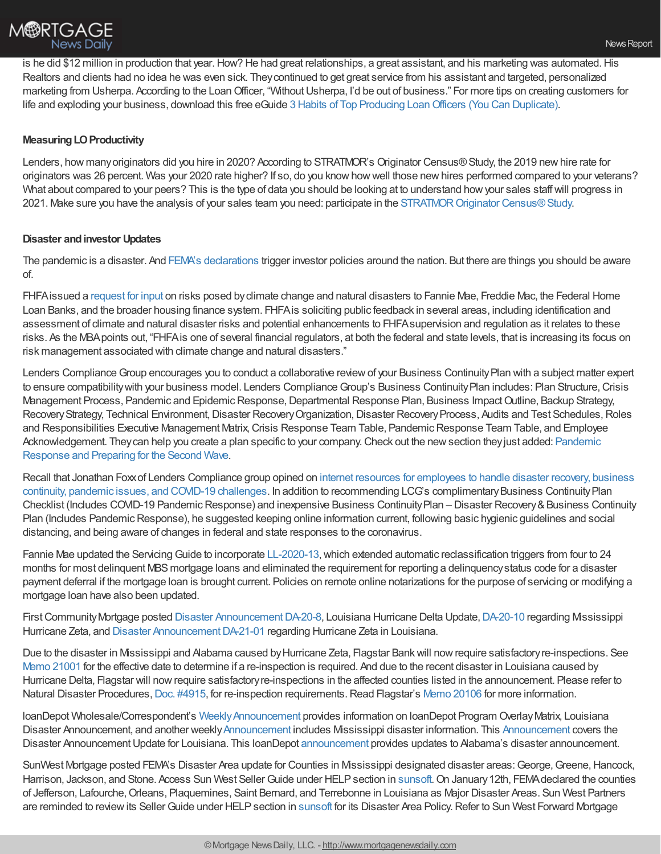

is he did \$12 million in production that year. How? He had great relationships, a great assistant, and his marketing was automated. His Realtors and clients had no idea he was even sick. Theycontinued to get great service from his assistant and targeted, personalized marketing from Usherpa. According to the Loan Officer, "Without Usherpa, I'd be out of business." For more tips on creating customers for life and exploding your business, download this free eGuide 3 Habits of Top Producing [LoanOfficers](http://bit.ly/3qRQGPz) (You Can Duplicate).

## **Measuring LO Productivity**

Lenders, how many originators did you hire in 2020? According to STRATMOR's Originator Census® Study, the 2019 new hire rate for originators was 26 percent. Was your 2020 rate higher? If so, do you knowhowwell those newhires performed compared to your veterans? What about compared to your peers? This is the type of data you should be looking at to understand howyour sales staffwill progress in 2021. Make sure you have the analysis of your sales team you need: participate in the STRATMOR Originator Census® Study.

## **Disaster andinvestor Updates**

The pandemic is a disaster. And FEMA's [declarations](https://www.fema.gov/disasters/disaster-declarations) trigger investor policies around the nation. But there are things you should be aware of.

FHFAissued a [request](http://r20.rs6.net/tn.jsp?f=001EpL_bkDYLaW1xwSLL7y-6sRJ81mM1A2tsOxJlMY1xgnWsa1K_7xL8_P_KelJzXt4bWouOFNZjN6uLVHHeV1s4CypSQX0kbHeh51bX1uCXBHJ3IyoOlRxOQhD_s_ItjVeRpRnWf7WJZiQ9dyu5Tvkq7ZVwj2TN4sjjqrzOzgAozK6-v9tBBkCzfVJB9aaUev5klAsS97RdR5gyHkFiCF7yvSZvs6OrVyVsAHgiTVvzbCOfhAsaJuDAcaXH1zSO9bAXgApk18-84qCbkN6Tg7e7Bk8loFNvGUeDfRlGbxOBu45FkJ1u8QFVqeKGSOCa-a26qRWBty0OvWpupT3Y2XMdvUn83P77iEF32uyyw0s-ZaWQ4MdDxvqPW1hFvxonCnzgO0J6tfbZ-hvQXkbW7uyquC2hGSiDP4khYTHCvNrGF1Z3js0PvOZAPd8bDjy8zKa4Fh05LNOdLAeh3zMPr1wrSKbIvETlAGD8oCjY7c_OhNH-OKGhqBicQ==&c=XsQ-fpLcSvzzHBs--DElhZZ15H2rKqYs1qR_saucKM-NXO1qWqe5lQ==&ch=Ov1cKZ81WjA-4mkWZcSNuPJOs2AMTVS18ORXLK1pidRyfT5RC_DcFw==) for input on risks posed byclimate change and natural disasters to Fannie Mae, Freddie Mac, the Federal Home Loan Banks, and the broader housing finance system. FHFAis soliciting public feedback in several areas, including identification and assessment of climate and natural disaster risks and potential enhancements to FHFAsupervision and regulation as it relates to these risks. As the MBApoints out, "FHFAis one of several financial regulators, at both the federal and state levels, that is increasing its focus on risk management associated with climate change and natural disasters."

Lenders Compliance Group encourages you to conduct a collaborative review of your Business Continuity Plan with a subject matter expert to ensure compatibility with your business model. Lenders Compliance Group's Business Continuity Plan includes: Plan Structure, Crisis Management Process, Pandemic and Epidemic Response, Departmental Response Plan, Business Impact Outline, Backup Strategy, Recovery Strategy, Technical Environment, Disaster Recovery Organization, Disaster Recovery Process, Audits and Test Schedules, Roles and Responsibilities Executive Management Matrix,Crisis Response Team Table, PandemicResponse Team Table, and Employee [Acknowledgement.](https://form.jotform.com/201756933663159) Theycan help you create a plan specific to your company.Check out the newsection theyjust added: Pandemic Response and Preparing for the Second Wave.

Recall that Jonathan Foxx of Lenders Compliance group opined on internet resources for employees to handle disaster recovery, business continuity, pandemic issues, and COVID-19 challenges. In addition to recommending LCG's complimentary Business Continuity Plan Checklist (Includes COVID-19 Pandemic Response) and inexpensive Business Continuity Plan – Disaster Recovery & Business Continuity Plan (Includes Pandemic Response), he suggested keeping online information current, following basic hygienic guidelines and social distancing, and being aware of changes in federal and state responses to the coronavirus.

Fannie Mae updated the Servicing Guide to incorporate [LL-2020-13,](https://singlefamily.fanniemae.com/media/24016/display) which extended automatic reclassification triggers from four to 24 months for most delinquent MBS mortgage loans and eliminated the requirement for reporting a delinquency status code for a disaster payment deferral if the mortgage loan is brought current. Policies on remote online notarizations for the purpose of servicing or modifying a mortgage loan have also been updated.

First Community Mortgage posted Disaster Announcement DA-20-8, Louisiana Hurricane Delta Update, [DA-20-10](https://kc.fcmpartners.com/wp-content/uploads/2021/01/Disaster-Announcement-DA-20-10_Mississippi_Hurricane-Zeta.pdf) regarding Mississippi Hurricane Zeta, and Disaster [AnnouncementDA-21-01](https://kc.fcmpartners.com/wp-content/uploads/2021/01/Disaster-Announcement-DA-21-01_Louisiana_Hurricane-Zeta.pdf) regarding Hurricane Zeta in Louisiana.

Due to the disaster in Mississippi and Alabama caused byHurricane Zeta, Flagstar Bankwill nowrequire satisfactoryre-inspections. See Memo [21001](https://www.flagstar.com/content/dam/tpo/sellers-guide/announcements/21001.pdf) for the effective date to determine if a re-inspection is required. And due to the recent disaster in Louisiana caused by Hurricane Delta, Flagstar will nowrequire satisfactoryre-inspections in the affected counties listed in the announcement. Please refer to Natural Disaster Procedures, Doc. [#4915](https://click.tpocommunications.flagstar.com/?qs=f1c5f14db1a6466fa543d09de994834da79bab8c848ab9de5b3e0258f041dffbcbd7f085981ddb7549ed7a9071433a3238821ebc653100f5), for re-inspection requirements. Read Flagstar's Memo [20106](https://www.flagstar.com/content/dam/tpo/sellers-guide/announcements/20106.pdf) for more information.

loanDepot Wholesale/Correspondent's Weekly Announcement provides information on loanDepot Program Overlay Matrix, Louisiana Disaster [Announcement](http://ld.ldwholesale.com/ls/click?upn=aYbu09plc4IntLDN6X2n-2BhqGvvlzjEqZuSmWj4xK3Ta6aMRD36dd356kQDqJgf15zMivnUyv5kJEVF-2F-2B2Thfq9JwIrDAbRdY59sYENacn07n-2FljuiL-2F77yFoNSvngrmDbSgC_nsxRNYUkMXYB3IyH-2Bw28TYELoM9YpzOtXrrlppkfzFjGpZbwd0bLMcf2RIKlkpDjIKT75vwgxwz07GbXFMs8t0-2F6BhuZeYvgrRBiufdODZq-2BBOgnDY72zCKeGGqX1-2F9sP-2Be6e0WwHiBb4dsCQQJrP7KFjX7L4J5RgOEBNmk9eN-2F1-2BlvwKlh1n1svDo2jyCcfriSRCphAjAcEIt4xCnDzVyDHaB3300JMm4whQ3g8WBdr8HzpYSHyttuu-2FIbf3pBMuyCT0CvJogVe2aZULwueduFTVWKNZJFcAAomXT4-2BHpbF4JHvH5yrLIk7y8gEBjBGYnP-2BKd1V8EjjoAbk0bUVJ8Zz-2FxFkvqhVhXo7sYYdXZ5DdrYDOXz71v-2BaibT5GPBKCiQibCaLUDP0L1K703XnHZMHDYa8cfU-2BSm2UVkIJRfo-3D), and another weekly Announcement includes Mississippi disaster information. This Announcement covers the Disaster AnnouncementUpdate for Louisiana. This loanDepot [announcement](https://portal.ldwholesale.com/portaldocs/communication/LDW_WNTW_12_21_20.pdf) provides updates to Alabama's disaster announcement.

SunWest Mortgage posted FEMA's Disaster Area update for Counties in Mississippi designated disaster areas: George, Greene, Hancock, Harrison, Jackson, and Stone. Access Sun West Seller Guide under HELP section in [sunsoft.](http://trk.cp20.com/click/4gri-2cfcs2-w7ogwh-i4wd1l1/) On January 12th, FEMA declared the counties of Jefferson, Lafourche,Orleans, Plaquemines, Saint Bernard, and Terrebonne in Louisiana as Major Disaster Areas. Sun West Partners are reminded to review its Seller Guide under HELP section in [sunsoft](http://trk.cp20.com/click/4gri-2cl3sg-wx1nox-i4wd1l0/) for its Disaster Area Policy. Refer to Sun West Forward Mortgage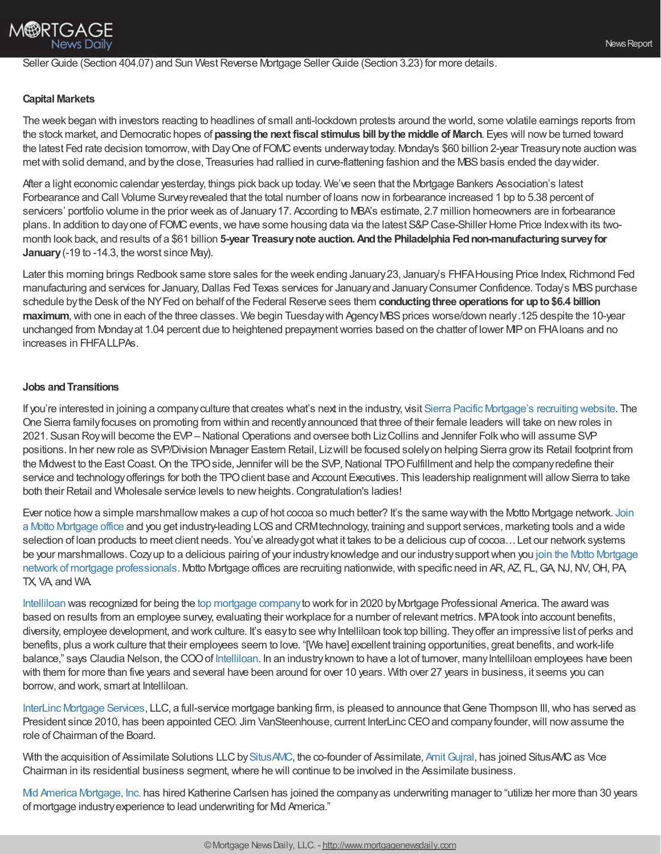## Seller Guide (Section 404.07) and Sun West Reverse Mortgage Seller Guide (Section 3.23) for more details.

#### **Capital Markets**

The week began with investors reacting to headlines of small anti-lockdown protests around the world, some volatile earnings reports from the stock market, and Democratic hopes of **passingthe next fiscal stimulus bill bythe middle of March**. Eyes will nowbe turned toward the latest Fed rate decision tomorrow, with Day One of FOMC events underway today. Monday's \$60 billion 2-year Treasury note auction was met with solid demand, and by the close, Treasuries had rallied in curve-flattening fashion and the MBS basis ended the day wider.

After a light economic calendar yesterday, things pick back up today. We've seen that the Mortgage Bankers Association's latest Forbearance and Call Volume Survey revealed that the total number of loans now in forbearance increased 1 bp to 5.38 percent of servicers' portfolio volume in the prior week as of January 17. According to MBA's estimate, 2.7 million homeowners are in forbearance plans. In addition to dayone of FOMC events, we have some housing data via the latest S&P Case-Shiller Home Price Index with its twomonth look back, and results of a \$61 billion **5-year Treasurynote auction.Andthe Philadelphia Fednon-manufacturingsurveyfor January**(-19 to -14.3, the worst since May).

Later this morning brings Redbook same store sales for the week ending January 23, January's FHFA Housing Price Index, Richmond Fed manufacturing and services for January, Dallas Fed Texas services for January and January Consumer Confidence. Today's MBS purchase schedule bythe Desk of the NYFed on behalf of the Federal Reserve sees them **conductingthree operations for upto\$6.4 billion maximum**, with one in each of the three classes. We begin Tuesday with Agency MBS prices worse/down nearly.125 despite the 10-year unchanged from Mondayat 1.04 percent due to heightened prepaymentworries based on the chatter of lower MIPon FHAloans and no increases in FHFALLPAs.

#### **Jobs andTransitions**

If you're interested in joining a companyculture that creates what's next in the industry, visit Sierra Pacific [Mortgage's](https://www.sierrapacificmortgage.com/net/joinsierrapacificmortgage/) recruiting website. The One Sierra familyfocuses on promoting from within and recentlyannounced that three of their female leaders will take on newroles in 2021. Susan Roywill become the EVP– National Operations and oversee both LizCollins and Jennifer Folkwho will assume SVP positions. In her newrole as SVP/Division Manager Eastern Retail, Lizwill be focused solelyon helping Sierra growits Retail footprint from the Midwest to the East Coast. On the TPO side, Jennifer will be the SVP, National TPO Fulfillment and help the company redefine their service and technology offerings for both the TPO client base and Account Executives. This leadership realignment will allow Sierra to take both their Retail and Wholesale service levels to new heights. Congratulation's ladies!

Ever notice howa simple marshmallow makes a cup of hot cocoa so much better? It's the same waywith the Motto Mortgage network. Join a Motto Mortgage office and you get industry-leading LOSand [CRMtechnology,](https://www.mottomortgage.com/loan-originator?utm_source=chrisman&utm_medium=newsletter&utm_campaign=jan2021) training and support services, marketing tools and a wide selection of loan products to meet client needs. You've already got what it takes to be a delicious cup of cocoa... Let our network systems be your [marshmallows.Cozyup](https://www.mottomortgage.com/loan-originator?utm_source=chrisman&utm_medium=newsletter&utm_campaign=jan2021) to a delicious pairing of your industryknowledge and our industrysupportwhen you join the Motto Mortgage network of mortgage professionals. Motto Mortgage offices are recruiting nationwide, with specific need in AR, AZ, FL, GA, NJ, NV, OH, PA, TX, VA, and WA.

[Intelliloan](https://intelliloan.com/) was recognized for being the top [mortgage](https://www.mpamag.com/rankings/top-mortgage-workplaces-2020-239469.aspx) companyto work for in 2020 byMortgage Professional America. The award was based on results from an employee survey, evaluating their workplace for a number of relevant metrics. MPAtook into account benefits, diversity, employee development, and work culture. It's easy to see why Intelliloan took top billing. They offer an impressive list of perks and benefits, plus a work culture that their employees seem to love. "[We have] excellent training opportunities, great benefits, and work-life balance," says Claudia Nelson, the COO of [Intelliloan](https://intelliloan.com/). In an industry known to have a lot of turnover, many Intelliloan employees have been with them for more than five years and several have been around for over 10 years. With over 27 years in business, it seems you can borrow, and work, smart at Intelliloan.

InterLinc [Mortgage](https://u7061146.ct.sendgrid.net/ls/click?upn=qa2IbKGitjgQYp6e-2BOdtLerrV13NHhb5UL9S4pkGvuI25LOI8A8RpmH-2BazMYGRSRXeYzKFY5E-2BDUVfPBJ733L5XMPVBhNxuK606UOMmJH6JGwJfGc3K2GRH11nXo4tTRpFfyp6uJd-2BTvW-2BjZMTgiVy-2FiNjXPUTxUePVxzzENSCXIRJ5jrLJhOqHRr70QjHNOL17st9sK9ZKh3mFzeIuls5n-2BWpBjYg6NQqNZOyYHkV06ZRKFPcWyS64MdLh5Hb5Pbe-2B5OakPubMRwAi16CyqAgnVvYNgajEhmJw6TGYNb-2BLuxWrAWuBcVVd75bnPb1a2wSRM_nsxRNYUkMXYB3IyH-2Bw28TYELoM9YpzOtXrrlppkfzFjGpZbwd0bLMcf2RIKlkpDjzuzdEkZgB6GAqVrUtatnD6EjhSzi0j0DhLATbiwSrOC9PpjEm6SX88yFCl97nZMxW-2Fo5kB9KkcDUt7U6KRZW5zK0baxpoO27-2FUqAyr3k74TaRgaRMGWR4xm5E9e7P9lSji93hcv1KXh96BCrj7FySQAYG92GpLEXUegLprYvtnQQmrW0XNmMT6pu7m3b5wF9t8TDPCo87AxVy6ECv3MmAdfHGSVHS2Vbg25YxHGX3zl9-2B3lkFwN8UKplCulSCWeGU5lQpUVkclOcexfz756sY7-2FrIRwlKCJSK8lJ-2BvrUNdA-3D) Services, LLC, a full-service mortgage banking firm, is pleased to announce that Gene Thompson III, who has served as President since 2010, has been appointed CEO. Jim VanSteenhouse, current InterLinc CEO and company founder, will now assume the role of Chairman of the Board.

With the acquisition of Assimilate Solutions LLC by [SitusAMC,](https://strategicvantage.com/situsamc-acquires-assimilate-solutions) the co-founder of Assimilate, Amit Gujral, has joined SitusAMC as Vice Chairman in its residential business segment,where he will continue to be involved in the Assimilate business.

Mid America [Mortgage,](https://www.midamericamortgage.com/fha-loans/) Inc. has hired Katherine Carlsen has joined the companyas underwriting manager to "utilize her more than 30 years of mortgage industryexperience to lead underwriting for Mid America."